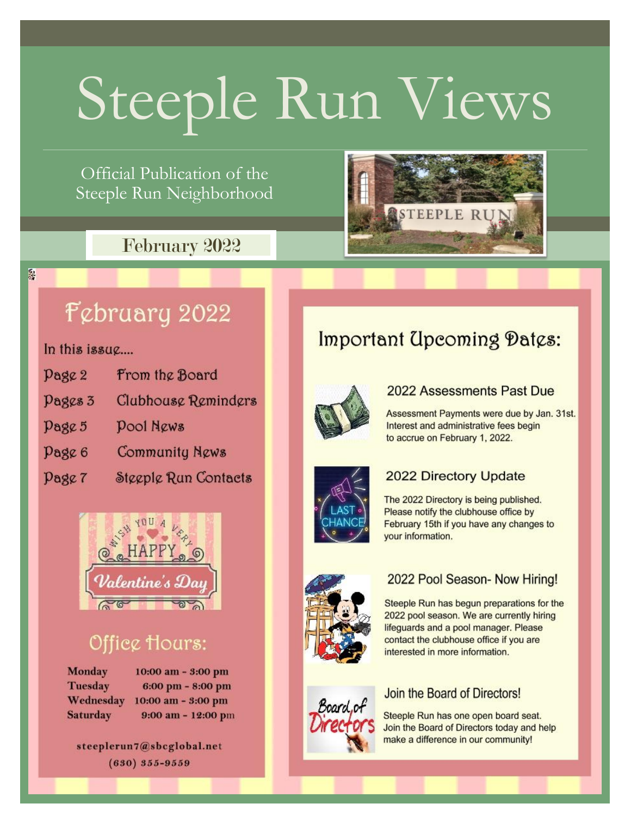# Steeple Run Views

Official Publication of the Steeple Run Neighborhood

### February 2022



# February 2022

In this issue....

優

Page 2 From the Board Pages 3 Clubhouse Reminders **Pool News** Page 5 Page 6 Community News Dage 7 Steeple Run Contacts



# Office Hours:

Monday **Tuesday** Wednesday Saturday

10:00 am - 3:00 pm 6:00 pm - 8:00 pm 10:00 am - 3:00 pm  $9:00$  am -  $12:00$  pm

steeplerun7@sbcglobal.net  $(630) 355 - 9559$ 

# Important Upcoming Dates:



### 2022 Assessments Past Due

Assessment Payments were due by Jan. 31st. Interest and administrative fees begin to accrue on February 1, 2022.



### **2022 Directory Update**

The 2022 Directory is being published. Please notify the clubhouse office by February 15th if you have any changes to vour information.



### 2022 Pool Season- Now Hiring!

Steeple Run has begun preparations for the 2022 pool season. We are currently hiring lifeguards and a pool manager. Please contact the clubhouse office if you are interested in more information.



### Join the Board of Directors!

Steeple Run has one open board seat. Join the Board of Directors today and help make a difference in our community!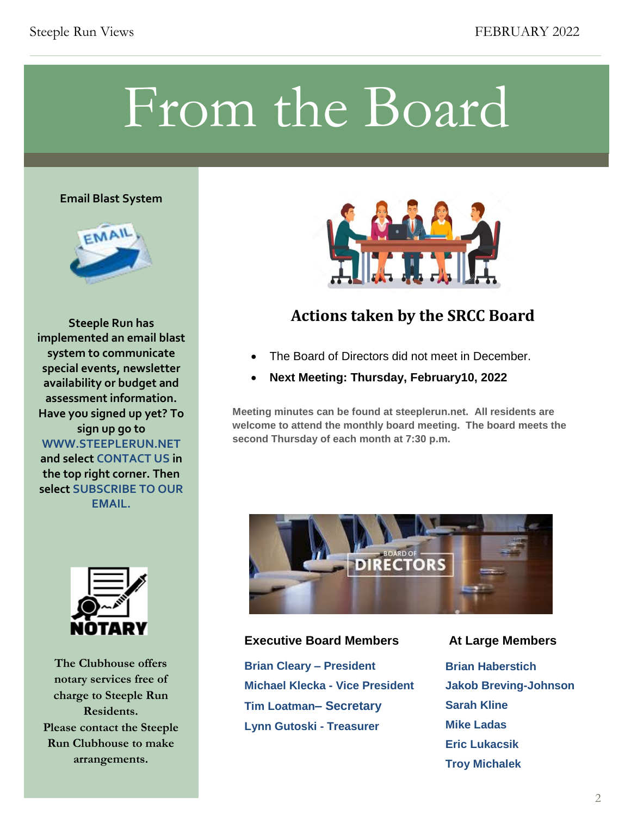# From the Board

#### **Email Blast System**



**Steeple Run has implemented an email blast system to communicate special events, newsletter availability or budget and assessment information. Have you signed up yet? To sign up go to WWW.STEEPLERUN.NET and select CONTACT US in the top right corner. Then select SUBSCRIBE TO OUR EMAIL.**



**The Clubhouse offers notary services free of charge to Steeple Run Residents. Please contact the Steeple Run Clubhouse to make arrangements.**



### **Actions taken by the SRCC Board**

- The Board of Directors did not meet in December.
- **Next Meeting: Thursday, February10, 2022**

**Meeting minutes can be found at steeplerun.net. All residents are welcome to attend the monthly board meeting. The board meets the second Thursday of each month at 7:30 p.m.**



### **Executive Board Members At Large Members**

**Brian Cleary – President Michael Klecka - Vice President Tim Loatman– Secretary Lynn Gutoski - Treasurer**

**Brian Haberstich Jakob Breving-Johnson Sarah Kline Mike Ladas Eric Lukacsik Troy Michalek**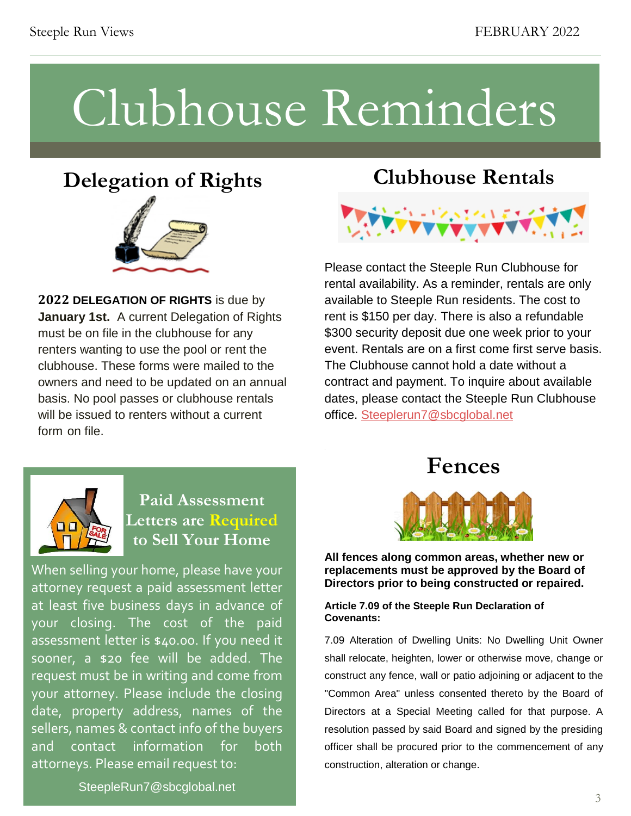# Clubhouse Reminders

.

## **Delegation of Rights**



**2022 DELEGATION OF RIGHTS** is due by **January 1st.** A current Delegation of Rights must be on file in the clubhouse for any renters wanting to use the pool or rent the clubhouse. These forms were mailed to the owners and need to be updated on an annual basis. No pool passes or clubhouse rentals will be issued to renters without a current form on file.

### **Clubhouse Rentals**



Please contact the Steeple Run Clubhouse for rental availability. As a reminder, rentals are only available to Steeple Run residents. The cost to rent is \$150 per day. There is also a refundable \$300 security deposit due one week prior to your event. Rentals are on a first come first serve basis. The Clubhouse cannot hold a date without a contract and payment. To inquire about available dates, please contact the Steeple Run Clubhouse office. [Steeplerun7@sbcglobal.net](mailto:Steeplerun7@sbcglobal.net)



### **Paid Assessment Letters are Required to Sell Your Home**

When selling your home, please have your attorney request a paid assessment letter at least five business days in advance of your closing. The cost of the paid assessment letter is \$40.00. If you need it sooner, a \$20 fee will be added. The request must be in writing and come from your attorney. Please include the closing date, property address, names of the sellers, names & contact info of the buyers and contact information for both attorneys. Please email request to:

**Fences**



**the replacements must be approved by the Board of**  $\mathbf{r}$ **All fences along common areas, whether new or Directors prior to being constructed or repaired.** 

#### **Article 7.09 of the Steeple Run Declaration of Covenants:**

7.09 Alteration of Dwelling Units: No Dwelling Unit Owner<br>
shall relocate, heighten, lower or otherwise move, change or<br>
construct any fence, wall or patio adjoining or adjacent to the Directors at a Special Meeting called for that purpose. A resolution passed by said Board and signed by the presiding officer shall be procured prior to the commencement of any shall relocate, heighten, lower or otherwise move, change or construct any fence, wall or patio adjoining or adjacent to the "Common Area" unless consented thereto by the Board of resolution passed by said Board and signed by the presiding officer shall be procured prior to the commencement of any construction, alteration or change.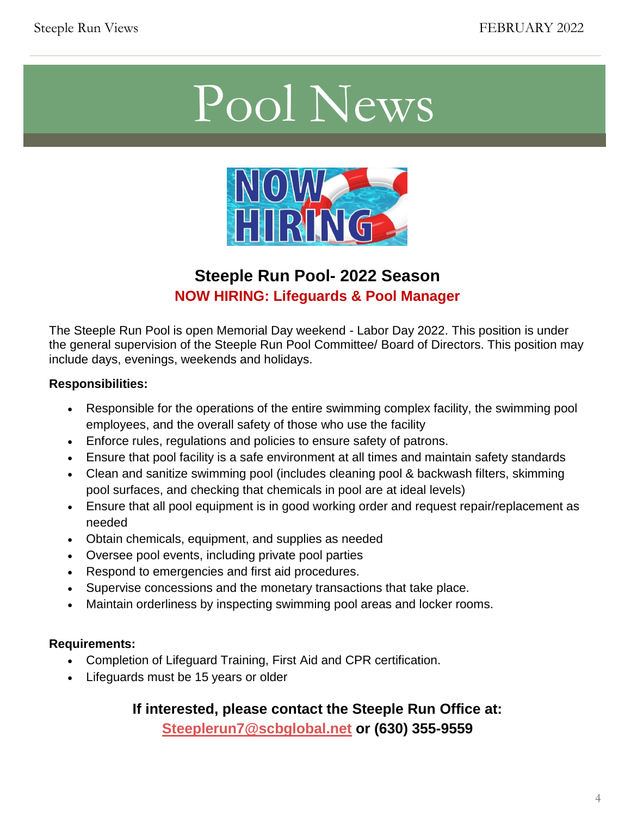# Pool News



### **Steeple Run Pool- 2022 Season NOW HIRING: Lifeguards & Pool Manager**

The Steeple Run Pool is open Memorial Day weekend - Labor Day 2022. This position is under the general supervision of the Steeple Run Pool Committee/ Board of Directors. This position may include days, evenings, weekends and holidays.

### **Responsibilities:**

- Responsible for the operations of the entire swimming complex facility, the swimming pool employees, and the overall safety of those who use the facility
- Enforce rules, regulations and policies to ensure safety of patrons.
- Ensure that pool facility is a safe environment at all times and maintain safety standards
- Clean and sanitize swimming pool (includes cleaning pool & backwash filters, skimming pool surfaces, and checking that chemicals in pool are at ideal levels)
- Ensure that all pool equipment is in good working order and request repair/replacement as needed
- Obtain chemicals, equipment, and supplies as needed
- Oversee pool events, including private pool parties
- Respond to emergencies and first aid procedures.
- Supervise concessions and the monetary transactions that take place.
- Maintain orderliness by inspecting swimming pool areas and locker rooms.

### **Requirements:**

- Completion of Lifeguard Training, First Aid and CPR certification.
- Lifeguards must be 15 years or older

### **If interested, please contact the Steeple Run Office at:**

**[Steeplerun7@scbglobal.net](mailto:Steeplerun7@scbglobal.net) or (630) 355-9559**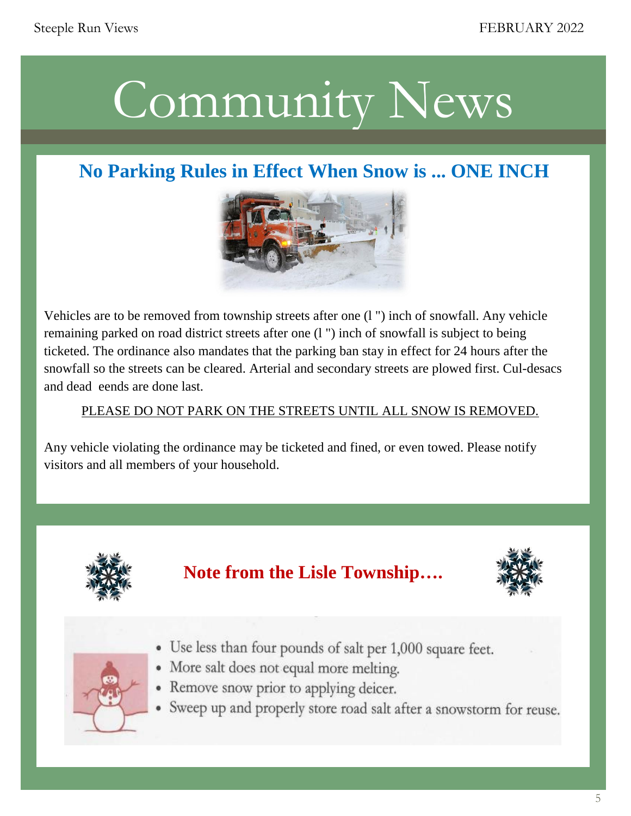# Community New Community News

## **No Parking Rules in Effect When Snow is ... ONE INCH**



remaining parked on road district streets after one  $(1<sup>n</sup>)$  inch of snowfall is subject to being<br>remaining parked on road district streets after one  $(1<sup>n</sup>)$  inch of snowfall is subject to being ticketed. The ordinance also mandates that the parking ban stay in effect for 24 hours after the and dead eends are done last. Vehicles are to be removed from township streets after one (l ") inch of snowfall. Any vehicle snowfall so the streets can be cleared. Arterial and secondary streets are plowed first. Cul-desacs

# . PLEASE DO NOT PARK ON THE STREETS UNTIL ALL SNOW IS REMOVED.

Any vehicle violating the ordinance may be ticketed and fined, or even towed. Please notify visitors and all members of your household.







- Use less than four pounds of salt per 1,000 square feet.
- · More salt does not equal more melting.
- Remove snow prior to applying deicer.
- Sweep up and properly store road salt after a snowstorm for reuse.